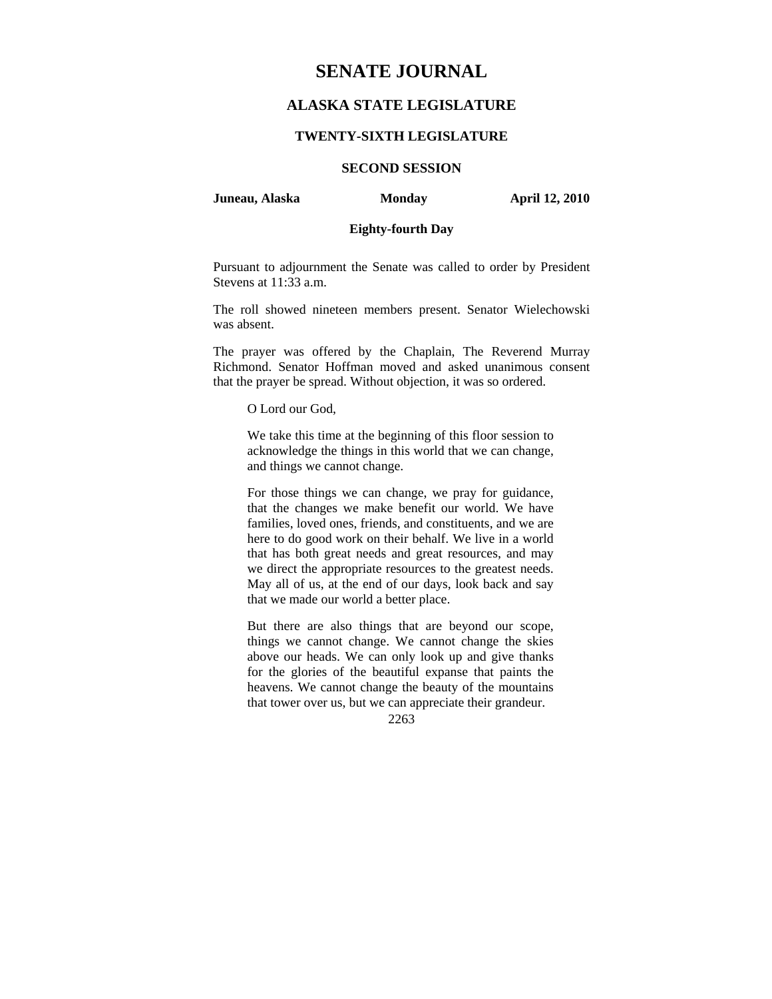# **SENATE JOURNAL**

# **ALASKA STATE LEGISLATURE**

## **TWENTY-SIXTH LEGISLATURE**

# **SECOND SESSION**

## **Juneau, Alaska Monday April 12, 2010**

# **Eighty-fourth Day**

Pursuant to adjournment the Senate was called to order by President Stevens at 11:33 a.m.

The roll showed nineteen members present. Senator Wielechowski was absent.

The prayer was offered by the Chaplain, The Reverend Murray Richmond. Senator Hoffman moved and asked unanimous consent that the prayer be spread. Without objection, it was so ordered.

O Lord our God,

We take this time at the beginning of this floor session to acknowledge the things in this world that we can change, and things we cannot change.

For those things we can change, we pray for guidance, that the changes we make benefit our world. We have families, loved ones, friends, and constituents, and we are here to do good work on their behalf. We live in a world that has both great needs and great resources, and may we direct the appropriate resources to the greatest needs. May all of us, at the end of our days, look back and say that we made our world a better place.

But there are also things that are beyond our scope, things we cannot change. We cannot change the skies above our heads. We can only look up and give thanks for the glories of the beautiful expanse that paints the heavens. We cannot change the beauty of the mountains that tower over us, but we can appreciate their grandeur.

2263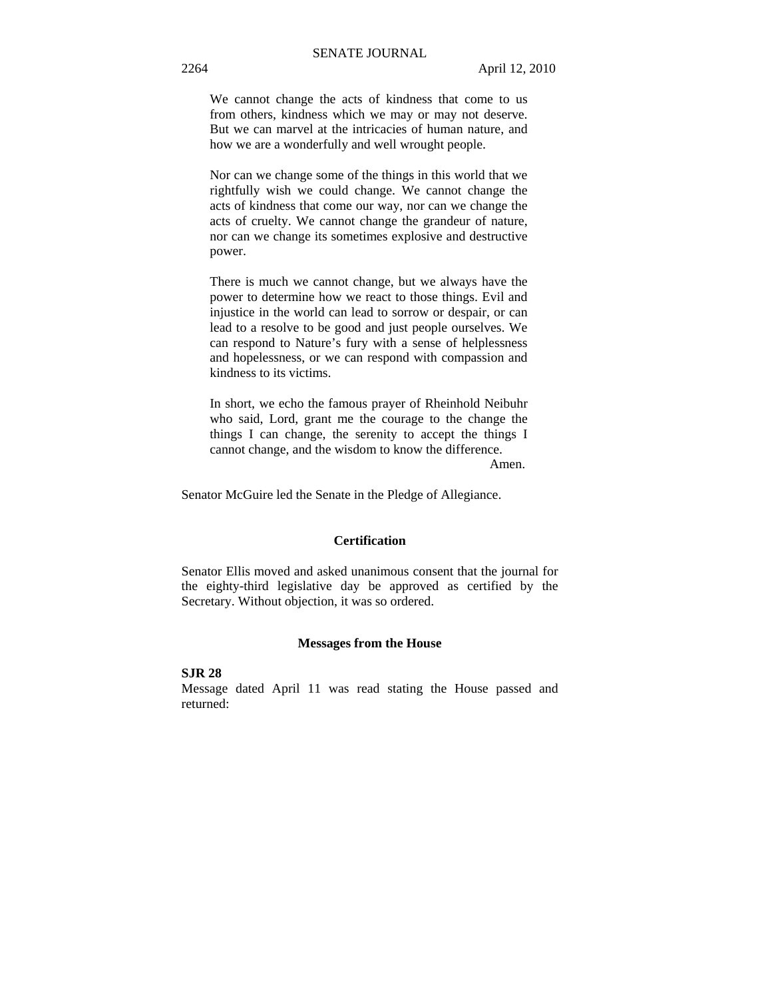We cannot change the acts of kindness that come to us from others, kindness which we may or may not deserve. But we can marvel at the intricacies of human nature, and how we are a wonderfully and well wrought people.

Nor can we change some of the things in this world that we rightfully wish we could change. We cannot change the acts of kindness that come our way, nor can we change the acts of cruelty. We cannot change the grandeur of nature, nor can we change its sometimes explosive and destructive power.

There is much we cannot change, but we always have the power to determine how we react to those things. Evil and injustice in the world can lead to sorrow or despair, or can lead to a resolve to be good and just people ourselves. We can respond to Nature's fury with a sense of helplessness and hopelessness, or we can respond with compassion and kindness to its victims.

In short, we echo the famous prayer of Rheinhold Neibuhr who said, Lord, grant me the courage to the change the things I can change, the serenity to accept the things I cannot change, and the wisdom to know the difference.

Amen.

Senator McGuire led the Senate in the Pledge of Allegiance.

## **Certification**

Senator Ellis moved and asked unanimous consent that the journal for the eighty-third legislative day be approved as certified by the Secretary. Without objection, it was so ordered.

#### **Messages from the House**

## **SJR 28**

Message dated April 11 was read stating the House passed and returned: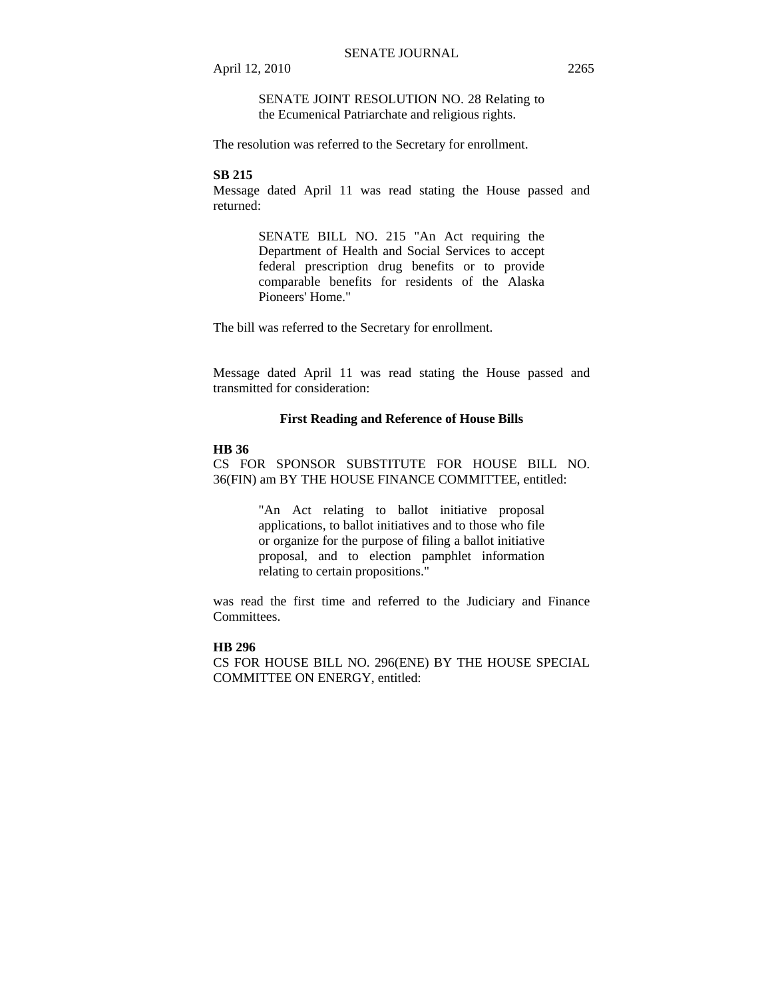SENATE JOINT RESOLUTION NO. 28 Relating to the Ecumenical Patriarchate and religious rights.

The resolution was referred to the Secretary for enrollment.

# **SB 215**

Message dated April 11 was read stating the House passed and returned:

> SENATE BILL NO. 215 "An Act requiring the Department of Health and Social Services to accept federal prescription drug benefits or to provide comparable benefits for residents of the Alaska Pioneers' Home."

The bill was referred to the Secretary for enrollment.

Message dated April 11 was read stating the House passed and transmitted for consideration:

# **First Reading and Reference of House Bills**

#### **HB 36**

CS FOR SPONSOR SUBSTITUTE FOR HOUSE BILL NO. 36(FIN) am BY THE HOUSE FINANCE COMMITTEE, entitled:

> "An Act relating to ballot initiative proposal applications, to ballot initiatives and to those who file or organize for the purpose of filing a ballot initiative proposal, and to election pamphlet information relating to certain propositions."

was read the first time and referred to the Judiciary and Finance Committees.

# **HB 296**

CS FOR HOUSE BILL NO. 296(ENE) BY THE HOUSE SPECIAL COMMITTEE ON ENERGY, entitled: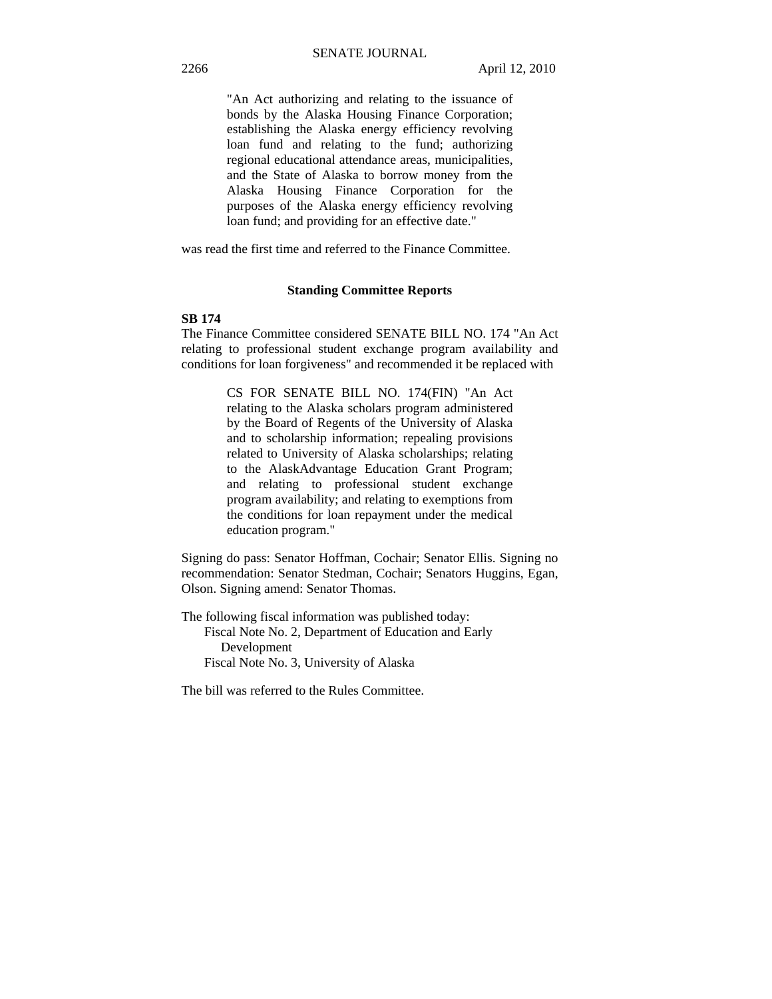"An Act authorizing and relating to the issuance of bonds by the Alaska Housing Finance Corporation; establishing the Alaska energy efficiency revolving loan fund and relating to the fund; authorizing regional educational attendance areas, municipalities, and the State of Alaska to borrow money from the Alaska Housing Finance Corporation for the purposes of the Alaska energy efficiency revolving loan fund; and providing for an effective date."

was read the first time and referred to the Finance Committee.

# **Standing Committee Reports**

### **SB 174**

The Finance Committee considered SENATE BILL NO. 174 "An Act relating to professional student exchange program availability and conditions for loan forgiveness" and recommended it be replaced with

> CS FOR SENATE BILL NO. 174(FIN) "An Act relating to the Alaska scholars program administered by the Board of Regents of the University of Alaska and to scholarship information; repealing provisions related to University of Alaska scholarships; relating to the AlaskAdvantage Education Grant Program; and relating to professional student exchange program availability; and relating to exemptions from the conditions for loan repayment under the medical education program."

Signing do pass: Senator Hoffman, Cochair; Senator Ellis. Signing no recommendation: Senator Stedman, Cochair; Senators Huggins, Egan, Olson. Signing amend: Senator Thomas.

The following fiscal information was published today: Fiscal Note No. 2, Department of Education and Early Development Fiscal Note No. 3, University of Alaska

The bill was referred to the Rules Committee.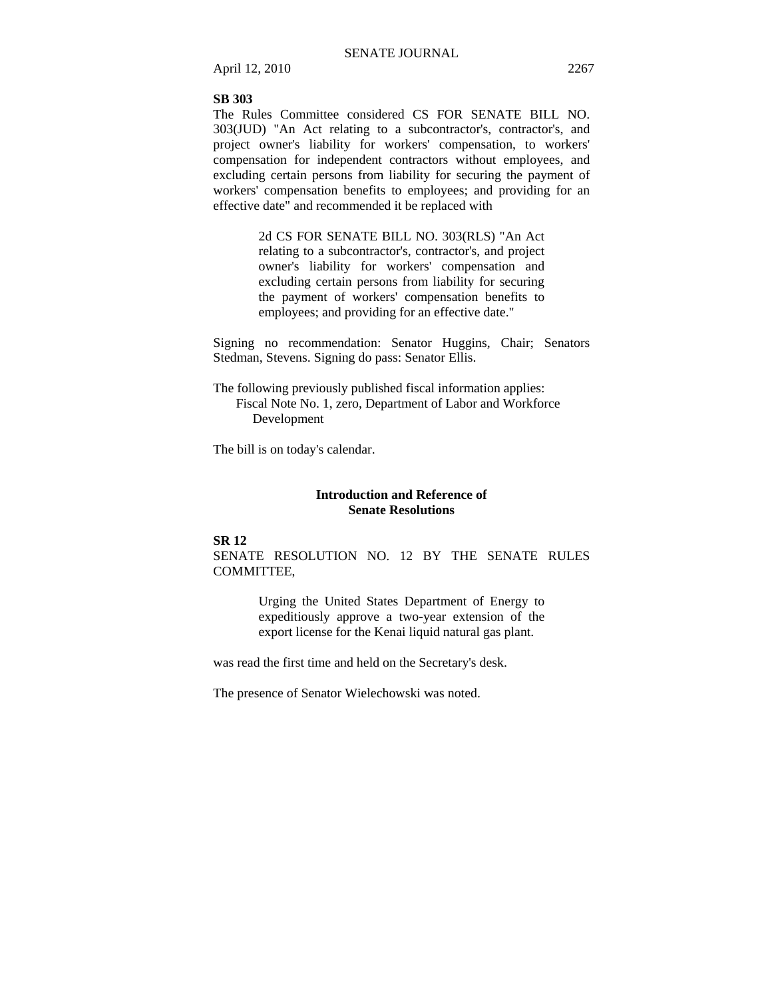#### **SB 303**

The Rules Committee considered CS FOR SENATE BILL NO. 303(JUD) "An Act relating to a subcontractor's, contractor's, and project owner's liability for workers' compensation, to workers' compensation for independent contractors without employees, and excluding certain persons from liability for securing the payment of workers' compensation benefits to employees; and providing for an effective date" and recommended it be replaced with

> 2d CS FOR SENATE BILL NO. 303(RLS) "An Act relating to a subcontractor's, contractor's, and project owner's liability for workers' compensation and excluding certain persons from liability for securing the payment of workers' compensation benefits to employees; and providing for an effective date."

Signing no recommendation: Senator Huggins, Chair; Senators Stedman, Stevens. Signing do pass: Senator Ellis.

The following previously published fiscal information applies: Fiscal Note No. 1, zero, Department of Labor and Workforce Development

The bill is on today's calendar.

# **Introduction and Reference of Senate Resolutions**

# **SR 12**

SENATE RESOLUTION NO. 12 BY THE SENATE RULES COMMITTEE,

> Urging the United States Department of Energy to expeditiously approve a two-year extension of the export license for the Kenai liquid natural gas plant.

was read the first time and held on the Secretary's desk.

The presence of Senator Wielechowski was noted.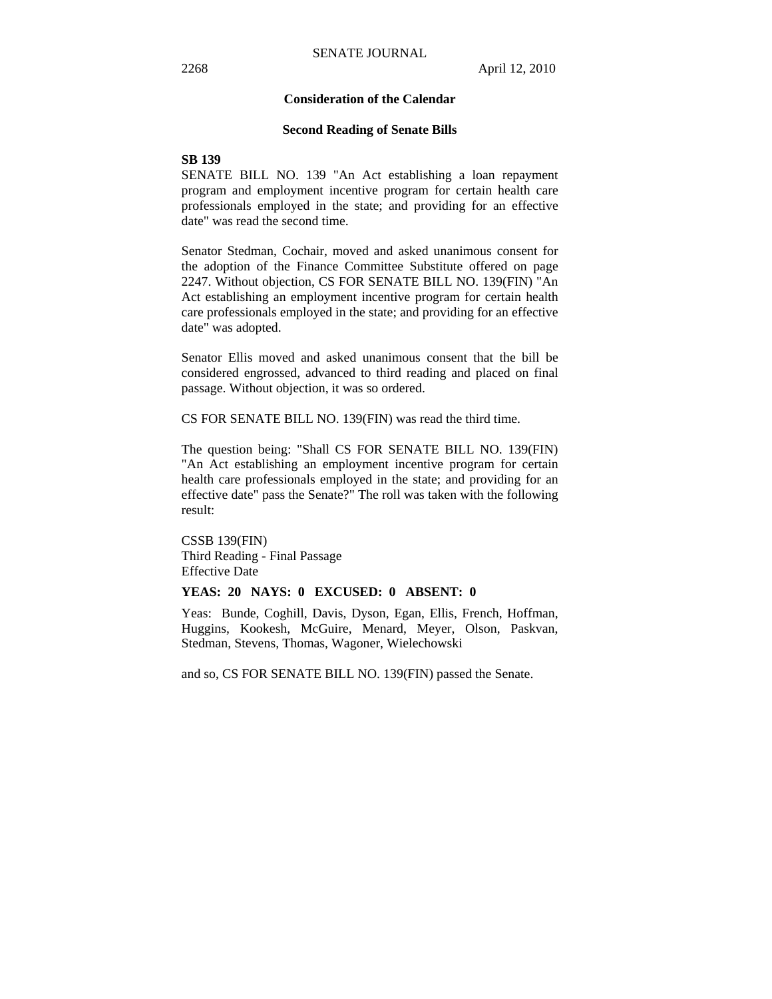## **Consideration of the Calendar**

#### **Second Reading of Senate Bills**

# **SB 139**

SENATE BILL NO. 139 "An Act establishing a loan repayment program and employment incentive program for certain health care professionals employed in the state; and providing for an effective date" was read the second time.

Senator Stedman, Cochair, moved and asked unanimous consent for the adoption of the Finance Committee Substitute offered on page 2247. Without objection, CS FOR SENATE BILL NO. 139(FIN) "An Act establishing an employment incentive program for certain health care professionals employed in the state; and providing for an effective date" was adopted.

Senator Ellis moved and asked unanimous consent that the bill be considered engrossed, advanced to third reading and placed on final passage. Without objection, it was so ordered.

CS FOR SENATE BILL NO. 139(FIN) was read the third time.

The question being: "Shall CS FOR SENATE BILL NO. 139(FIN) "An Act establishing an employment incentive program for certain health care professionals employed in the state; and providing for an effective date" pass the Senate?" The roll was taken with the following result:

CSSB 139(FIN) Third Reading - Final Passage Effective Date

#### **YEAS: 20 NAYS: 0 EXCUSED: 0 ABSENT: 0**

Yeas: Bunde, Coghill, Davis, Dyson, Egan, Ellis, French, Hoffman, Huggins, Kookesh, McGuire, Menard, Meyer, Olson, Paskvan, Stedman, Stevens, Thomas, Wagoner, Wielechowski

and so, CS FOR SENATE BILL NO. 139(FIN) passed the Senate.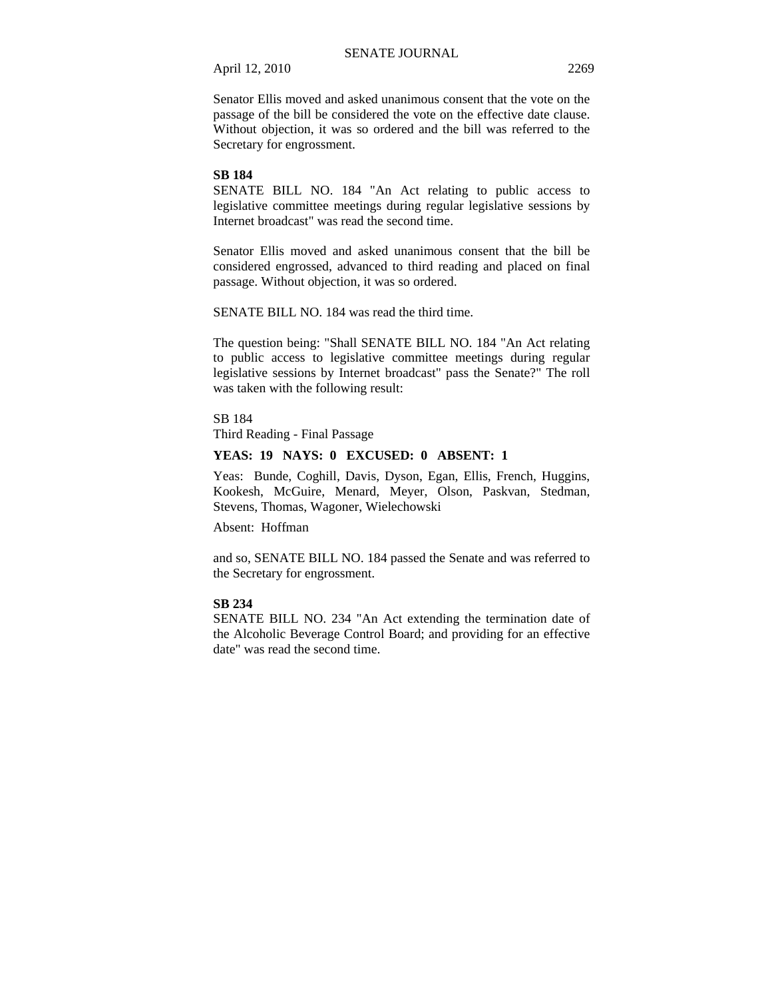Senator Ellis moved and asked unanimous consent that the vote on the passage of the bill be considered the vote on the effective date clause. Without objection, it was so ordered and the bill was referred to the Secretary for engrossment.

# **SB 184**

SENATE BILL NO. 184 "An Act relating to public access to legislative committee meetings during regular legislative sessions by Internet broadcast" was read the second time.

Senator Ellis moved and asked unanimous consent that the bill be considered engrossed, advanced to third reading and placed on final passage. Without objection, it was so ordered.

SENATE BILL NO. 184 was read the third time.

The question being: "Shall SENATE BILL NO. 184 "An Act relating to public access to legislative committee meetings during regular legislative sessions by Internet broadcast" pass the Senate?" The roll was taken with the following result:

SB 184 Third Reading - Final Passage

#### **YEAS: 19 NAYS: 0 EXCUSED: 0 ABSENT: 1**

Yeas: Bunde, Coghill, Davis, Dyson, Egan, Ellis, French, Huggins, Kookesh, McGuire, Menard, Meyer, Olson, Paskvan, Stedman, Stevens, Thomas, Wagoner, Wielechowski

Absent: Hoffman

and so, SENATE BILL NO. 184 passed the Senate and was referred to the Secretary for engrossment.

### **SB 234**

SENATE BILL NO. 234 "An Act extending the termination date of the Alcoholic Beverage Control Board; and providing for an effective date" was read the second time.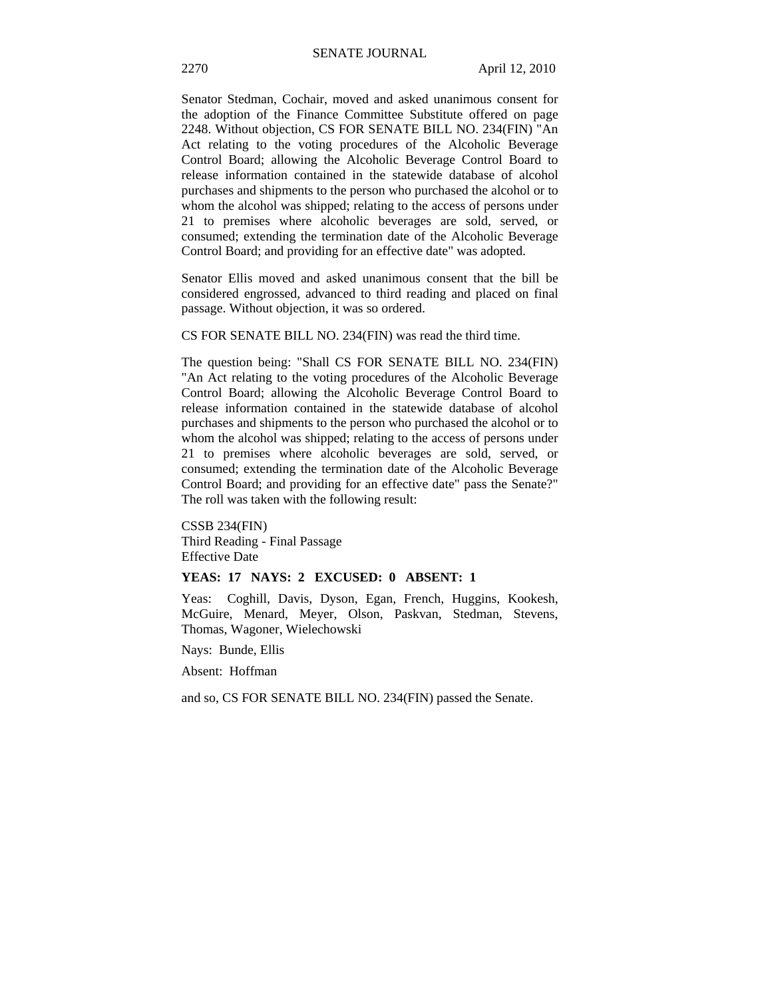Senator Stedman, Cochair, moved and asked unanimous consent for the adoption of the Finance Committee Substitute offered on page 2248. Without objection, CS FOR SENATE BILL NO. 234(FIN) "An Act relating to the voting procedures of the Alcoholic Beverage Control Board; allowing the Alcoholic Beverage Control Board to release information contained in the statewide database of alcohol purchases and shipments to the person who purchased the alcohol or to whom the alcohol was shipped; relating to the access of persons under 21 to premises where alcoholic beverages are sold, served, or consumed; extending the termination date of the Alcoholic Beverage Control Board; and providing for an effective date" was adopted.

Senator Ellis moved and asked unanimous consent that the bill be considered engrossed, advanced to third reading and placed on final passage. Without objection, it was so ordered.

CS FOR SENATE BILL NO. 234(FIN) was read the third time.

The question being: "Shall CS FOR SENATE BILL NO. 234(FIN) "An Act relating to the voting procedures of the Alcoholic Beverage Control Board; allowing the Alcoholic Beverage Control Board to release information contained in the statewide database of alcohol purchases and shipments to the person who purchased the alcohol or to whom the alcohol was shipped; relating to the access of persons under 21 to premises where alcoholic beverages are sold, served, or consumed; extending the termination date of the Alcoholic Beverage Control Board; and providing for an effective date" pass the Senate?" The roll was taken with the following result:

CSSB 234(FIN) Third Reading - Final Passage Effective Date

#### **YEAS: 17 NAYS: 2 EXCUSED: 0 ABSENT: 1**

Yeas: Coghill, Davis, Dyson, Egan, French, Huggins, Kookesh, McGuire, Menard, Meyer, Olson, Paskvan, Stedman, Stevens, Thomas, Wagoner, Wielechowski

Nays: Bunde, Ellis

Absent: Hoffman

and so, CS FOR SENATE BILL NO. 234(FIN) passed the Senate.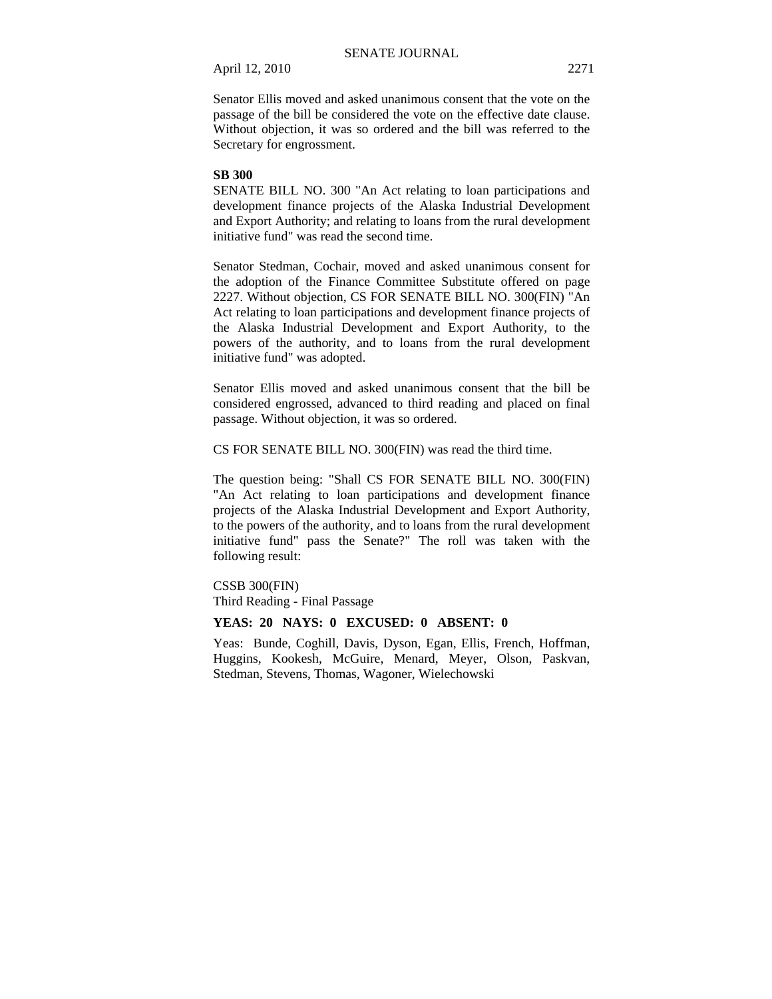Senator Ellis moved and asked unanimous consent that the vote on the passage of the bill be considered the vote on the effective date clause. Without objection, it was so ordered and the bill was referred to the Secretary for engrossment.

## **SB 300**

SENATE BILL NO. 300 "An Act relating to loan participations and development finance projects of the Alaska Industrial Development and Export Authority; and relating to loans from the rural development initiative fund" was read the second time.

Senator Stedman, Cochair, moved and asked unanimous consent for the adoption of the Finance Committee Substitute offered on page 2227. Without objection, CS FOR SENATE BILL NO. 300(FIN) "An Act relating to loan participations and development finance projects of the Alaska Industrial Development and Export Authority, to the powers of the authority, and to loans from the rural development initiative fund" was adopted.

Senator Ellis moved and asked unanimous consent that the bill be considered engrossed, advanced to third reading and placed on final passage. Without objection, it was so ordered.

CS FOR SENATE BILL NO. 300(FIN) was read the third time.

The question being: "Shall CS FOR SENATE BILL NO. 300(FIN) "An Act relating to loan participations and development finance projects of the Alaska Industrial Development and Export Authority, to the powers of the authority, and to loans from the rural development initiative fund" pass the Senate?" The roll was taken with the following result:

# CSSB 300(FIN)

Third Reading - Final Passage

## **YEAS: 20 NAYS: 0 EXCUSED: 0 ABSENT: 0**

Yeas: Bunde, Coghill, Davis, Dyson, Egan, Ellis, French, Hoffman, Huggins, Kookesh, McGuire, Menard, Meyer, Olson, Paskvan, Stedman, Stevens, Thomas, Wagoner, Wielechowski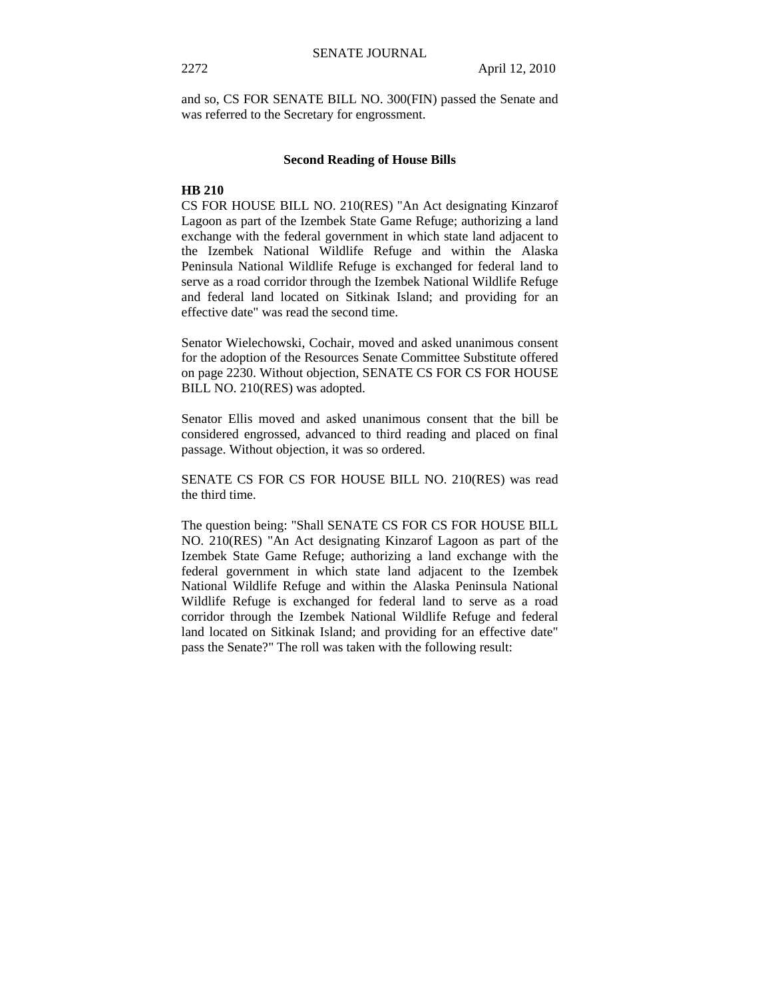and so, CS FOR SENATE BILL NO. 300(FIN) passed the Senate and was referred to the Secretary for engrossment.

#### **Second Reading of House Bills**

# **HB 210**

CS FOR HOUSE BILL NO. 210(RES) "An Act designating Kinzarof Lagoon as part of the Izembek State Game Refuge; authorizing a land exchange with the federal government in which state land adjacent to the Izembek National Wildlife Refuge and within the Alaska Peninsula National Wildlife Refuge is exchanged for federal land to serve as a road corridor through the Izembek National Wildlife Refuge and federal land located on Sitkinak Island; and providing for an effective date" was read the second time.

Senator Wielechowski, Cochair, moved and asked unanimous consent for the adoption of the Resources Senate Committee Substitute offered on page 2230. Without objection, SENATE CS FOR CS FOR HOUSE BILL NO. 210(RES) was adopted.

Senator Ellis moved and asked unanimous consent that the bill be considered engrossed, advanced to third reading and placed on final passage. Without objection, it was so ordered.

SENATE CS FOR CS FOR HOUSE BILL NO. 210(RES) was read the third time.

The question being: "Shall SENATE CS FOR CS FOR HOUSE BILL NO. 210(RES) "An Act designating Kinzarof Lagoon as part of the Izembek State Game Refuge; authorizing a land exchange with the federal government in which state land adjacent to the Izembek National Wildlife Refuge and within the Alaska Peninsula National Wildlife Refuge is exchanged for federal land to serve as a road corridor through the Izembek National Wildlife Refuge and federal land located on Sitkinak Island; and providing for an effective date" pass the Senate?" The roll was taken with the following result: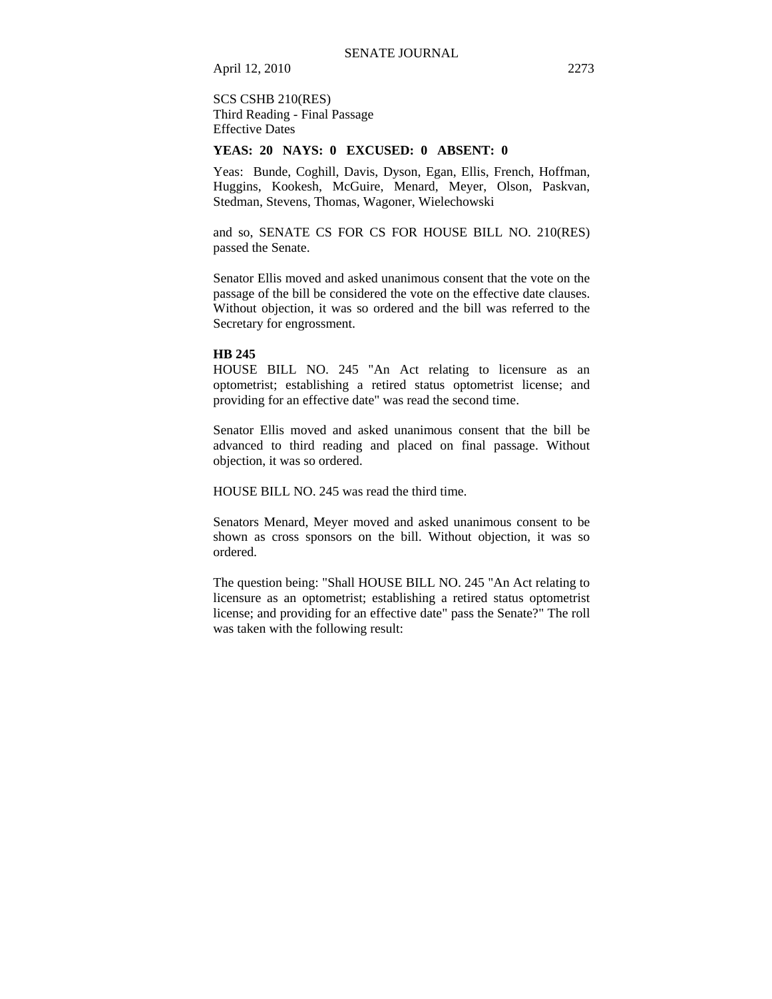# SCS CSHB 210(RES) Third Reading - Final Passage Effective Dates

#### **YEAS: 20 NAYS: 0 EXCUSED: 0 ABSENT: 0**

Yeas: Bunde, Coghill, Davis, Dyson, Egan, Ellis, French, Hoffman, Huggins, Kookesh, McGuire, Menard, Meyer, Olson, Paskvan, Stedman, Stevens, Thomas, Wagoner, Wielechowski

and so, SENATE CS FOR CS FOR HOUSE BILL NO. 210(RES) passed the Senate.

Senator Ellis moved and asked unanimous consent that the vote on the passage of the bill be considered the vote on the effective date clauses. Without objection, it was so ordered and the bill was referred to the Secretary for engrossment.

## **HB 245**

HOUSE BILL NO. 245 "An Act relating to licensure as an optometrist; establishing a retired status optometrist license; and providing for an effective date" was read the second time.

Senator Ellis moved and asked unanimous consent that the bill be advanced to third reading and placed on final passage. Without objection, it was so ordered.

HOUSE BILL NO. 245 was read the third time.

Senators Menard, Meyer moved and asked unanimous consent to be shown as cross sponsors on the bill. Without objection, it was so ordered.

The question being: "Shall HOUSE BILL NO. 245 "An Act relating to licensure as an optometrist; establishing a retired status optometrist license; and providing for an effective date" pass the Senate?" The roll was taken with the following result: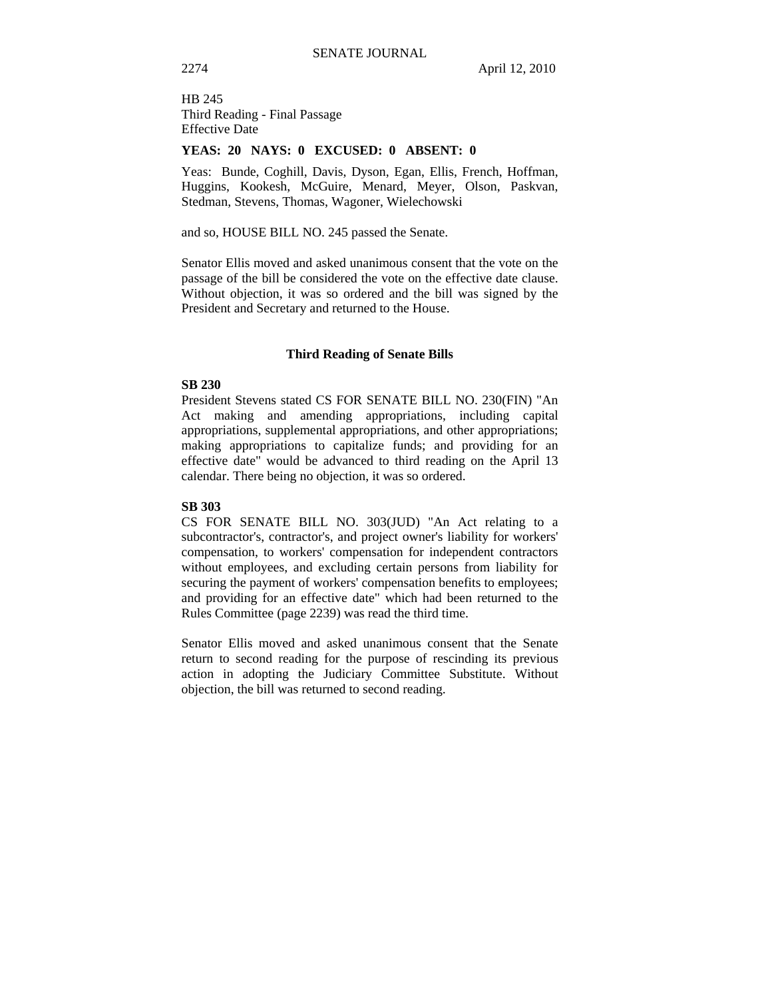HB 245 Third Reading - Final Passage Effective Date

## **YEAS: 20 NAYS: 0 EXCUSED: 0 ABSENT: 0**

Yeas: Bunde, Coghill, Davis, Dyson, Egan, Ellis, French, Hoffman, Huggins, Kookesh, McGuire, Menard, Meyer, Olson, Paskvan, Stedman, Stevens, Thomas, Wagoner, Wielechowski

and so, HOUSE BILL NO. 245 passed the Senate.

Senator Ellis moved and asked unanimous consent that the vote on the passage of the bill be considered the vote on the effective date clause. Without objection, it was so ordered and the bill was signed by the President and Secretary and returned to the House.

### **Third Reading of Senate Bills**

# **SB 230**

President Stevens stated CS FOR SENATE BILL NO. 230(FIN) "An Act making and amending appropriations, including capital appropriations, supplemental appropriations, and other appropriations; making appropriations to capitalize funds; and providing for an effective date" would be advanced to third reading on the April 13 calendar. There being no objection, it was so ordered.

#### **SB 303**

CS FOR SENATE BILL NO. 303(JUD) "An Act relating to a subcontractor's, contractor's, and project owner's liability for workers' compensation, to workers' compensation for independent contractors without employees, and excluding certain persons from liability for securing the payment of workers' compensation benefits to employees; and providing for an effective date" which had been returned to the Rules Committee (page 2239) was read the third time.

Senator Ellis moved and asked unanimous consent that the Senate return to second reading for the purpose of rescinding its previous action in adopting the Judiciary Committee Substitute. Without objection, the bill was returned to second reading.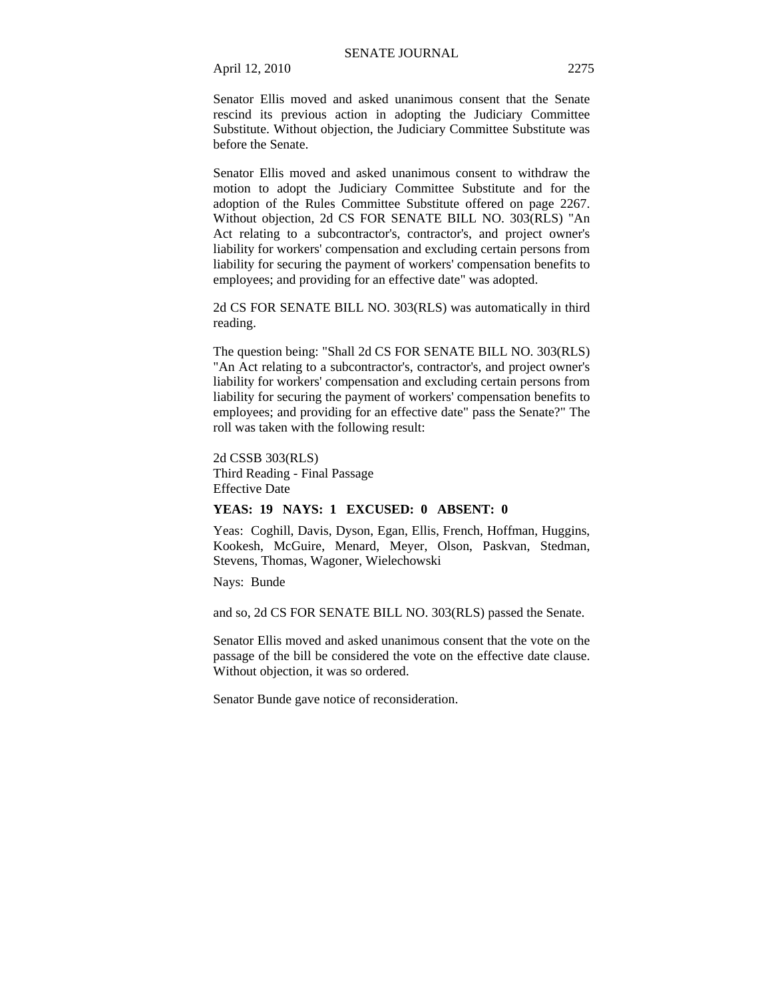Senator Ellis moved and asked unanimous consent that the Senate rescind its previous action in adopting the Judiciary Committee Substitute. Without objection, the Judiciary Committee Substitute was before the Senate.

Senator Ellis moved and asked unanimous consent to withdraw the motion to adopt the Judiciary Committee Substitute and for the adoption of the Rules Committee Substitute offered on page 2267. Without objection, 2d CS FOR SENATE BILL NO. 303(RLS) "An Act relating to a subcontractor's, contractor's, and project owner's liability for workers' compensation and excluding certain persons from liability for securing the payment of workers' compensation benefits to employees; and providing for an effective date" was adopted.

2d CS FOR SENATE BILL NO. 303(RLS) was automatically in third reading.

The question being: "Shall 2d CS FOR SENATE BILL NO. 303(RLS) "An Act relating to a subcontractor's, contractor's, and project owner's liability for workers' compensation and excluding certain persons from liability for securing the payment of workers' compensation benefits to employees; and providing for an effective date" pass the Senate?" The roll was taken with the following result:

2d CSSB 303(RLS) Third Reading - Final Passage Effective Date

### **YEAS: 19 NAYS: 1 EXCUSED: 0 ABSENT: 0**

Yeas: Coghill, Davis, Dyson, Egan, Ellis, French, Hoffman, Huggins, Kookesh, McGuire, Menard, Meyer, Olson, Paskvan, Stedman, Stevens, Thomas, Wagoner, Wielechowski

Nays: Bunde

and so, 2d CS FOR SENATE BILL NO. 303(RLS) passed the Senate.

Senator Ellis moved and asked unanimous consent that the vote on the passage of the bill be considered the vote on the effective date clause. Without objection, it was so ordered.

Senator Bunde gave notice of reconsideration.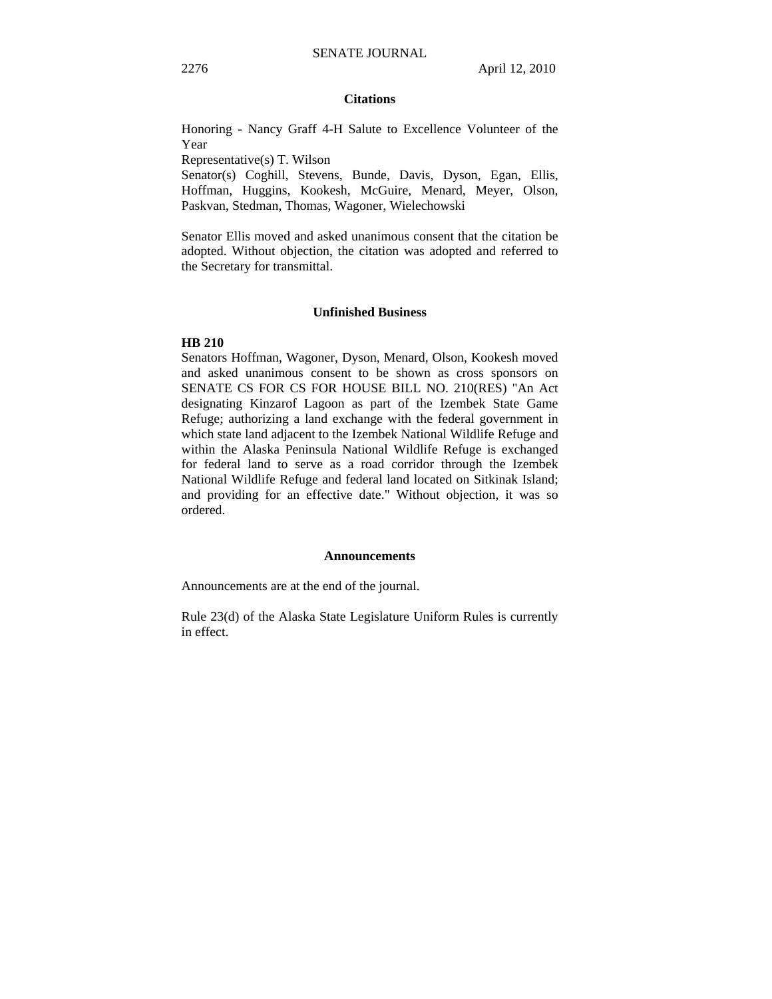### **Citations**

Honoring - Nancy Graff 4-H Salute to Excellence Volunteer of the Year

Representative(s) T. Wilson

Senator(s) Coghill, Stevens, Bunde, Davis, Dyson, Egan, Ellis, Hoffman, Huggins, Kookesh, McGuire, Menard, Meyer, Olson, Paskvan, Stedman, Thomas, Wagoner, Wielechowski

Senator Ellis moved and asked unanimous consent that the citation be adopted. Without objection, the citation was adopted and referred to the Secretary for transmittal.

#### **Unfinished Business**

#### **HB 210**

Senators Hoffman, Wagoner, Dyson, Menard, Olson, Kookesh moved and asked unanimous consent to be shown as cross sponsors on SENATE CS FOR CS FOR HOUSE BILL NO. 210(RES) "An Act designating Kinzarof Lagoon as part of the Izembek State Game Refuge; authorizing a land exchange with the federal government in which state land adjacent to the Izembek National Wildlife Refuge and within the Alaska Peninsula National Wildlife Refuge is exchanged for federal land to serve as a road corridor through the Izembek National Wildlife Refuge and federal land located on Sitkinak Island; and providing for an effective date." Without objection, it was so ordered.

#### **Announcements**

Announcements are at the end of the journal.

Rule 23(d) of the Alaska State Legislature Uniform Rules is currently in effect.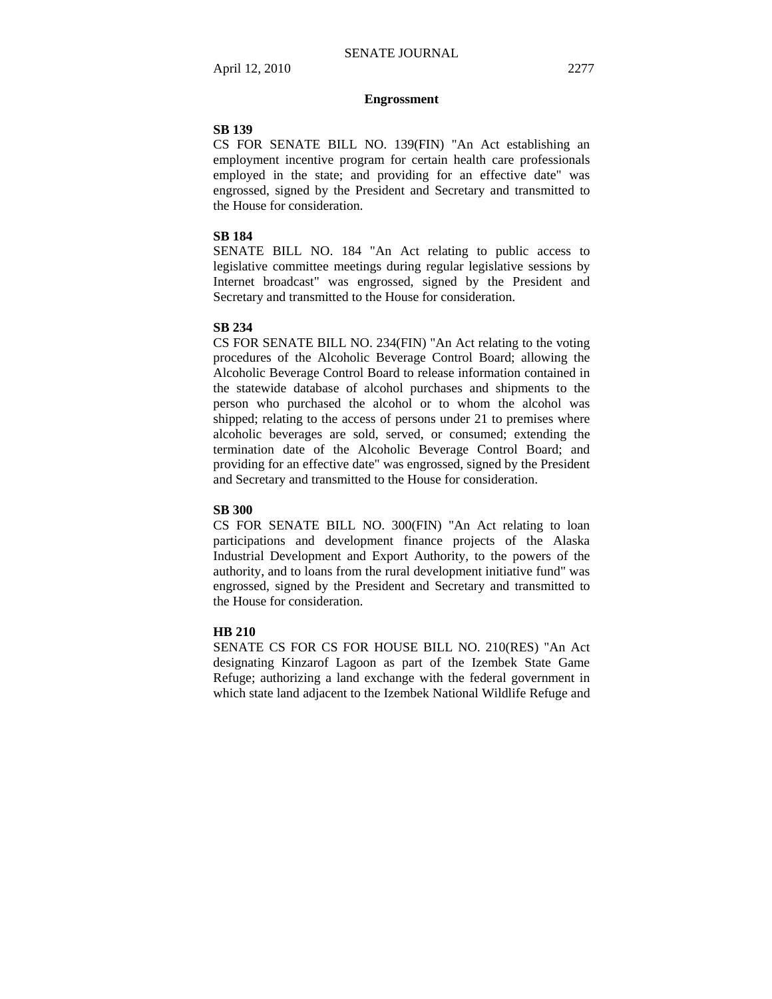### **Engrossment**

### **SB 139**

CS FOR SENATE BILL NO. 139(FIN) "An Act establishing an employment incentive program for certain health care professionals employed in the state; and providing for an effective date" was engrossed, signed by the President and Secretary and transmitted to the House for consideration.

# **SB 184**

SENATE BILL NO. 184 "An Act relating to public access to legislative committee meetings during regular legislative sessions by Internet broadcast" was engrossed, signed by the President and Secretary and transmitted to the House for consideration.

#### **SB 234**

CS FOR SENATE BILL NO. 234(FIN) "An Act relating to the voting procedures of the Alcoholic Beverage Control Board; allowing the Alcoholic Beverage Control Board to release information contained in the statewide database of alcohol purchases and shipments to the person who purchased the alcohol or to whom the alcohol was shipped; relating to the access of persons under 21 to premises where alcoholic beverages are sold, served, or consumed; extending the termination date of the Alcoholic Beverage Control Board; and providing for an effective date" was engrossed, signed by the President and Secretary and transmitted to the House for consideration.

#### **SB 300**

CS FOR SENATE BILL NO. 300(FIN) "An Act relating to loan participations and development finance projects of the Alaska Industrial Development and Export Authority, to the powers of the authority, and to loans from the rural development initiative fund" was engrossed, signed by the President and Secretary and transmitted to the House for consideration.

### **HB 210**

SENATE CS FOR CS FOR HOUSE BILL NO. 210(RES) "An Act designating Kinzarof Lagoon as part of the Izembek State Game Refuge; authorizing a land exchange with the federal government in which state land adjacent to the Izembek National Wildlife Refuge and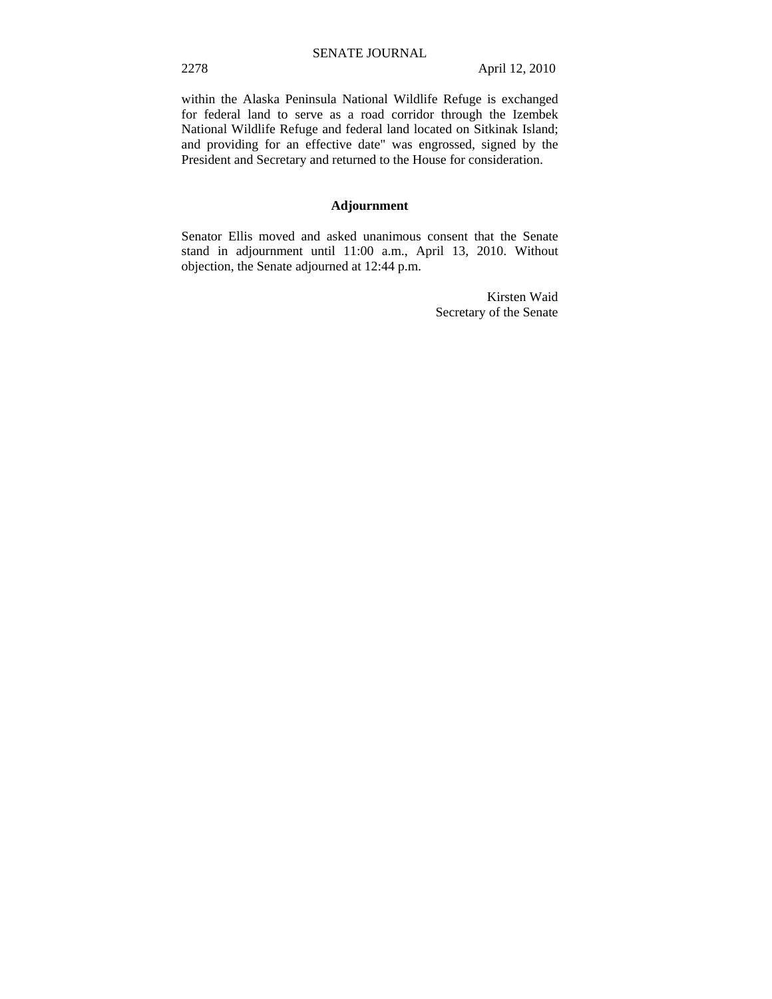within the Alaska Peninsula National Wildlife Refuge is exchanged for federal land to serve as a road corridor through the Izembek National Wildlife Refuge and federal land located on Sitkinak Island; and providing for an effective date" was engrossed, signed by the President and Secretary and returned to the House for consideration.

# **Adjournment**

Senator Ellis moved and asked unanimous consent that the Senate stand in adjournment until 11:00 a.m., April 13, 2010. Without objection, the Senate adjourned at 12:44 p.m.

> Kirsten Waid Secretary of the Senate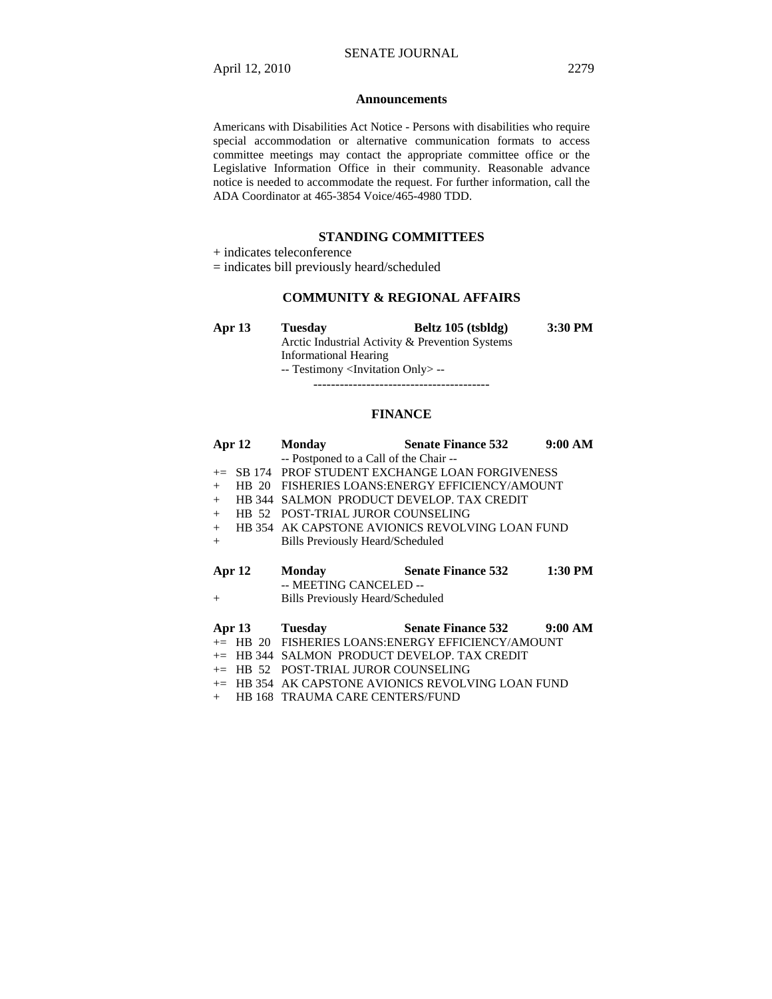#### **Announcements**

Americans with Disabilities Act Notice - Persons with disabilities who require special accommodation or alternative communication formats to access committee meetings may contact the appropriate committee office or the Legislative Information Office in their community. Reasonable advance notice is needed to accommodate the request. For further information, call the ADA Coordinator at 465-3854 Voice/465-4980 TDD.

## **STANDING COMMITTEES**

+ indicates teleconference

= indicates bill previously heard/scheduled

## **COMMUNITY & REGIONAL AFFAIRS**

| Apr $13$ | <b>Tuesday</b>                                    | Beltz 105 (tsbldg) | $3:30$ PM |
|----------|---------------------------------------------------|--------------------|-----------|
|          | Arctic Industrial Activity & Prevention Systems   |                    |           |
|          | Informational Hearing                             |                    |           |
|          | -- Testimony <invitation only=""> --</invitation> |                    |           |

----------------------------------------

## **FINANCE**

|                   | Apr 12 | <b>Monday</b>                          | <b>Senate Finance 532</b>                       | 9:00 AM   |
|-------------------|--------|----------------------------------------|-------------------------------------------------|-----------|
|                   |        | -- Postponed to a Call of the Chair -- |                                                 |           |
| $+=$              |        |                                        | SB 174 PROF STUDENT EXCHANGE LOAN FORGIVENESS   |           |
| $+$               |        |                                        | HB 20 FISHERIES LOANS: ENERGY EFFICIENCY/AMOUNT |           |
| $+$               |        |                                        | HB 344 SALMON PRODUCT DEVELOP. TAX CREDIT       |           |
| $+$               |        | HB 52 POST-TRIAL JUROR COUNSELING      |                                                 |           |
| $+$               |        |                                        | HB 354 AK CAPSTONE AVIONICS REVOLVING LOAN FUND |           |
| $^{+}$            |        | Bills Previously Heard/Scheduled       |                                                 |           |
| Apr <sub>12</sub> |        | Monday<br>-- MEETING CANCELED --       | <b>Senate Finance 532</b>                       | $1:30$ PM |
| $^+$              |        | Bills Previously Heard/Scheduled       |                                                 |           |

# **Apr 13 Tuesday Senate Finance 532 9:00 AM**

- += HB 20 FISHERIES LOANS:ENERGY EFFICIENCY/AMOUNT += HB 344 SALMON PRODUCT DEVELOP. TAX CREDIT
- += HB 52 POST-TRIAL JUROR COUNSELING
- 
- += HB 354 AK CAPSTONE AVIONICS REVOLVING LOAN FUND
- + HB 168 TRAUMA CARE CENTERS/FUND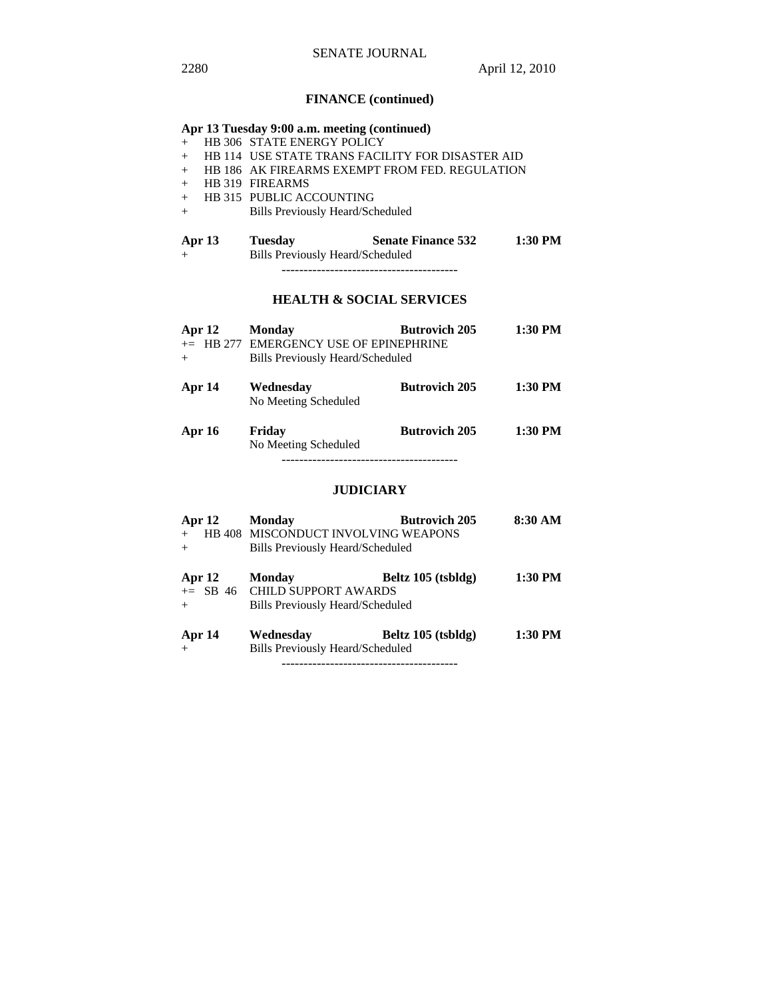# **FINANCE (continued)**

| Apr 13 Tuesday 9:00 a.m. meeting (continued) |  |                                         |                                                  |         |
|----------------------------------------------|--|-----------------------------------------|--------------------------------------------------|---------|
| $+$                                          |  | <b>HB 306 STATE ENERGY POLICY</b>       |                                                  |         |
| $+$                                          |  |                                         | HB 114 USE STATE TRANS FACILITY FOR DISASTER AID |         |
| $+$                                          |  |                                         | HB 186 AK FIREARMS EXEMPT FROM FED. REGULATION   |         |
| $+$                                          |  | HB 319 FIREARMS                         |                                                  |         |
| $+$                                          |  | HB 315 PUBLIC ACCOUNTING                |                                                  |         |
| $+$                                          |  | <b>Bills Previously Heard/Scheduled</b> |                                                  |         |
| Apr 13<br>$+$                                |  | <b>Tuesday</b>                          | <b>Senate Finance 532</b>                        | 1:30 PM |
| Bills Previously Heard/Scheduled             |  |                                         |                                                  |         |

# **HEALTH & SOCIAL SERVICES**

| Apr 12<br>$^{+}$ | <b>Butrovich 205</b><br><b>Monday</b><br>+= HB 277 EMERGENCY USE OF EPINEPHRINE<br>Bills Previously Heard/Scheduled |                      | 1:30 PM |  |
|------------------|---------------------------------------------------------------------------------------------------------------------|----------------------|---------|--|
| Apr 14           | Wednesday<br>No Meeting Scheduled                                                                                   | <b>Butrovich 205</b> | 1:30 PM |  |
| <b>Apr 16</b>    | Friday<br>No Meeting Scheduled                                                                                      | <b>Butrovich 205</b> | 1:30 PM |  |

# **JUDICIARY**

| Apr 12 | <b>Monday</b>                           | <b>Butrovich 205</b> | 8:30 AM |
|--------|-----------------------------------------|----------------------|---------|
| $+$    | HB 408 MISCONDUCT INVOLVING WEAPONS     |                      |         |
| $+$    | Bills Previously Heard/Scheduled        |                      |         |
| Apr 12 | <b>Monday</b>                           | Beltz 105 (tsbldg)   | 1:30 PM |
|        | $+=$ SB 46 CHILD SUPPORT AWARDS         |                      |         |
| $+$    | Bills Previously Heard/Scheduled        |                      |         |
| Apr 14 | Wednesday                               | Beltz 105 (tsbldg)   | 1:30 PM |
| $+$    | <b>Bills Previously Heard/Scheduled</b> |                      |         |

----------------------------------------